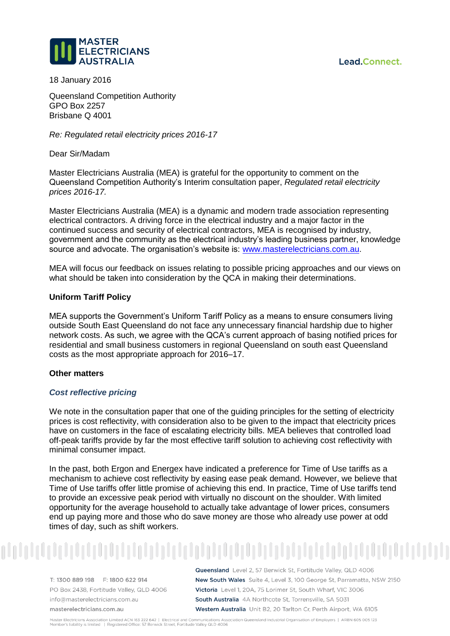Lead.Connect.



18 January 2016

Queensland Competition Authority GPO Box 2257 Brisbane Q 4001

*Re: Regulated retail electricity prices 2016-17*

Dear Sir/Madam

Master Electricians Australia (MEA) is grateful for the opportunity to comment on the Queensland Competition Authority's Interim consultation paper, *Regulated retail electricity prices 2016-17.*

Master Electricians Australia (MEA) is a dynamic and modern trade association representing electrical contractors. A driving force in the electrical industry and a major factor in the continued success and security of electrical contractors, MEA is recognised by industry, government and the community as the electrical industry's leading business partner, knowledge source and advocate. The organisation's website is: [www.masterelectricians.com.au.](http://www.masterelectricians.com.au/)

MEA will focus our feedback on issues relating to possible pricing approaches and our views on what should be taken into consideration by the QCA in making their determinations.

# **Uniform Tariff Policy**

MEA supports the Government's Uniform Tariff Policy as a means to ensure consumers living outside South East Queensland do not face any unnecessary financial hardship due to higher network costs. As such, we agree with the QCA's current approach of basing notified prices for residential and small business customers in regional Queensland on south east Queensland costs as the most appropriate approach for 2016–17.

### **Other matters**

# *Cost reflective pricing*

We note in the consultation paper that one of the guiding principles for the setting of electricity prices is cost reflectivity, with consideration also to be given to the impact that electricity prices have on customers in the face of escalating electricity bills. MEA believes that controlled load off-peak tariffs provide by far the most effective tariff solution to achieving cost reflectivity with minimal consumer impact.

In the past, both Ergon and Energex have indicated a preference for Time of Use tariffs as a mechanism to achieve cost reflectivity by easing ease peak demand. However, we believe that Time of Use tariffs offer little promise of achieving this end. In practice, Time of Use tariffs tend to provide an excessive peak period with virtually no discount on the shoulder. With limited opportunity for the average household to actually take advantage of lower prices, consumers end up paying more and those who do save money are those who already use power at odd times of day, such as shift workers.

T: 1300 889 198 F: 1800 622 914 PO Box 2438, Fortitude Valley, QLD 4006 info@masterelectricians.com.au masterelectricians.com.au

Queensland Level 2, 57 Berwick St, Fortitude Valley, QLD 4006 New South Wales Suite 4, Level 3, 100 George St, Parramatta, NSW 2150 Victoria Level 1, 20A, 75 Lorimer St, South Wharf, VIC 3006 South Australia 4A Northcote St, Torrensville, SA 5031 Western Australia Unit B2, 20 Tarlton Cr. Perth Airport, WA 6105

Master Electricians Association Limited ACN 163 222 642 | Electrical and Communications Association Queensland Industrial Organisation of Employers | ARBN 605 005 123 Member's liability is limited | Registered Office: 57 Berwick Street, Fortitude Valley QLD 4006